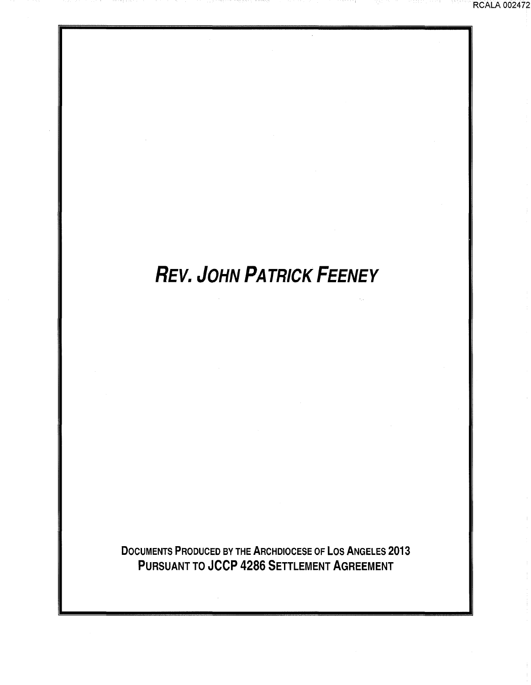**RCALA 002472** 

# **REV. JOHN PATRICK FEENEY**

DOCUMENTS PRODUCED BY THE ARCHDIOCESE OF LOS ANGELES 2013 PURSUANT TO JCCP 4286 SETTLEMENT AGREEMENT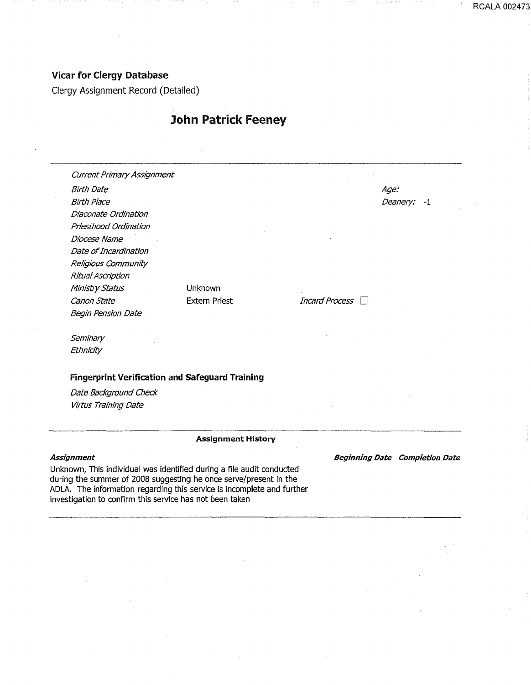### Vicar for Clergy Database

Clergy Assignment Record (Detailed)

## John Patrick Feeney

Current Primary Assignment Birth Date Birth Place Diaconate Ordination Priesthood Ordination Diocese Name Age: Deanery: -1 Date of Incardination Religious Community Ritual Ascription Ministry Status canon State Unknown Extern Priest *Incard Process* Begin Pension Date

**Seminary** Ethnicity

#### Fingerprint Verification and Safeguard Training

Date Background Check Virtus Training Date

#### Assignment History

#### **Assignment**

Unknown, This individual was identified during a file audit conducted during the summer of 2008 suggesting he once serve/present in the ADLA. The information regarding this service is incomplete and further investigation to confirm this service has not been taken

Beginning Date Completion Date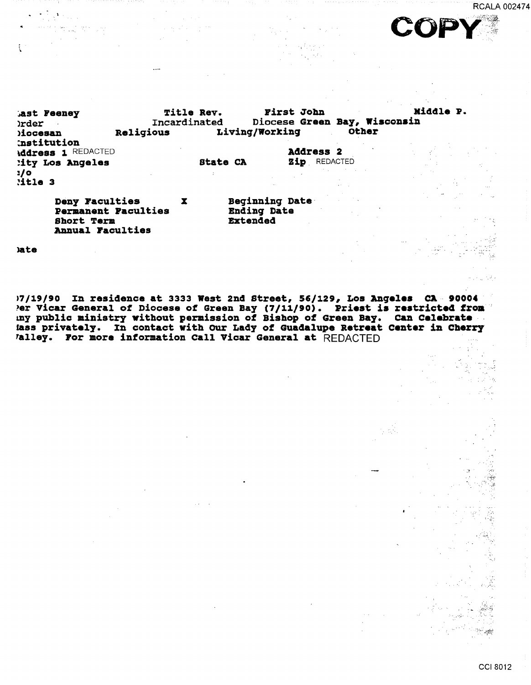**RCALA 002474** 



Middle P. Title Rev. First John ast Feeney Diocese Green Bay, Wisconsin Incardinated **rder** Living/Working Other Religious diocesan institution Address 1 REDACTED **Address 2** Zip REDACTED lity Los Angeles **State CA**  $2/0$  $:$ itle  $3$ Deny Faculties Beginning Date  $\mathbf{x}$ 

**Permanent Faculties Short Term** Annual Faculties

**Ending Date** Extended

**late** 

17/19/90 In residence at 3333 West 2nd Street, 56/129, Los Angeles CA 90004 Per Vicar General of Diocese of Green Bay (7/11/90). Priest is restricted from<br>my public ministry without permission of Bishop of Green Bay. Can Celebrate lass privately. In contact with Our Lady of Guadalupe Retreat Center in Cherry Valley. For more information Call Vicar General at REDACTED